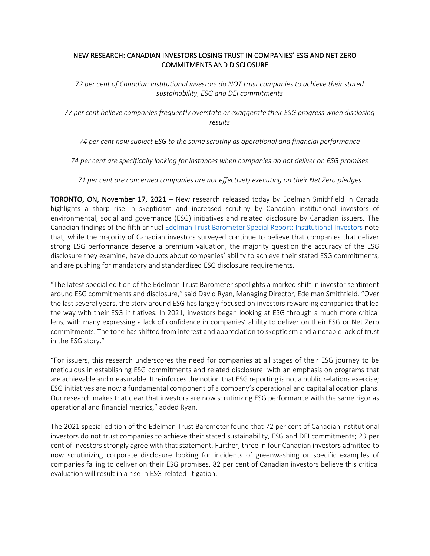## NEW RESEARCH: CANADIAN INVESTORS LOSING TRUST IN COMPANIES' ESG AND NET ZERO COMMITMENTS AND DISCLOSURE

*72 per cent of Canadian institutional investors do NOT trust companies to achieve their stated sustainability, ESG and DEI commitments*

*77 per cent believe companies frequently overstate or exaggerate their ESG progress when disclosing results*

*74 per cent now subject ESG to the same scrutiny as operational and financial performance*

*74 per cent are specifically looking for instances when companies do not deliver on ESG promises*

*71 per cent are concerned companies are not effectively executing on their Net Zero pledges*

TORONTO, ON, November 17, 2021 – New research released today by Edelman Smithfield in Canada highlights a sharp rise in skepticism and increased scrutiny by Canadian institutional investors of environmental, social and governance (ESG) initiatives and related disclosure by Canadian issuers. The Canadian findings of the fifth annual [Edelman Trust Barometer Special Report: Institutional Investors](https://www.edelman.ca/sites/g/files/aatuss376/files/2021-11/2021%20Institutional%20Investor%20Trust%20Barometer%20Report%20-%20Edelman%20Smithfield%20Canada.pdf) note that, while the majority of Canadian investors surveyed continue to believe that companies that deliver strong ESG performance deserve a premium valuation, the majority question the accuracy of the ESG disclosure they examine, have doubts about companies' ability to achieve their stated ESG commitments, and are pushing for mandatory and standardized ESG disclosure requirements.

"The latest special edition of the Edelman Trust Barometer spotlights a marked shift in investor sentiment around ESG commitments and disclosure," said David Ryan, Managing Director, Edelman Smithfield. "Over the last several years, the story around ESG has largely focused on investors rewarding companies that led the way with their ESG initiatives. In 2021, investors began looking at ESG through a much more critical lens, with many expressing a lack of confidence in companies' ability to deliver on their ESG or Net Zero commitments. The tone has shifted from interest and appreciation to skepticism and a notable lack of trust in the ESG story."

"For issuers, this research underscores the need for companies at all stages of their ESG journey to be meticulous in establishing ESG commitments and related disclosure, with an emphasis on programs that are achievable and measurable. It reinforces the notion that ESG reporting is not a public relations exercise; ESG initiatives are now a fundamental component of a company's operational and capital allocation plans. Our research makes that clear that investors are now scrutinizing ESG performance with the same rigor as operational and financial metrics," added Ryan.

The 2021 special edition of the Edelman Trust Barometer found that 72 per cent of Canadian institutional investors do not trust companies to achieve their stated sustainability, ESG and DEI commitments; 23 per cent of investors strongly agree with that statement. Further, three in four Canadian investors admitted to now scrutinizing corporate disclosure looking for incidents of greenwashing or specific examples of companies failing to deliver on their ESG promises. 82 per cent of Canadian investors believe this critical evaluation will result in a rise in ESG-related litigation.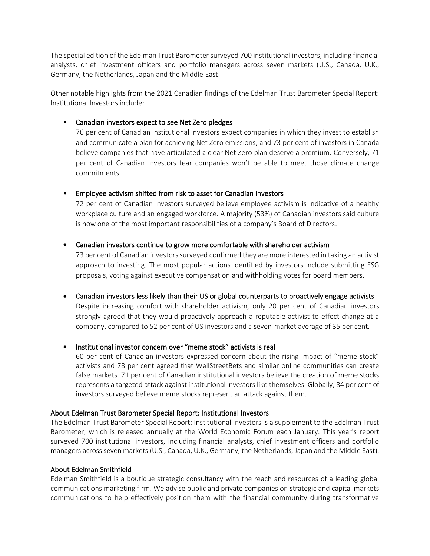The special edition of the Edelman Trust Barometer surveyed 700 institutional investors, including financial analysts, chief investment officers and portfolio managers across seven markets (U.S., Canada, U.K., Germany, the Netherlands, Japan and the Middle East.

Other notable highlights from the 2021 Canadian findings of the Edelman Trust Barometer Special Report: Institutional Investors include:

• Canadian investors expect to see Net Zero pledges

76 per cent of Canadian institutional investors expect companies in which they invest to establish and communicate a plan for achieving Net Zero emissions, and 73 per cent of investors in Canada believe companies that have articulated a clear Net Zero plan deserve a premium. Conversely, 71 per cent of Canadian investors fear companies won't be able to meet those climate change commitments.

• Employee activism shifted from risk to asset for Canadian investors

72 per cent of Canadian investors surveyed believe employee activism is indicative of a healthy workplace culture and an engaged workforce. A majority (53%) of Canadian investors said culture is now one of the most important responsibilities of a company's Board of Directors.

• Canadian investors continue to grow more comfortable with shareholder activism

73 per cent of Canadian investors surveyed confirmed they are more interested in taking an activist approach to investing. The most popular actions identified by investors include submitting ESG proposals, voting against executive compensation and withholding votes for board members.

• Canadian investors less likely than their US or global counterparts to proactively engage activists Despite increasing comfort with shareholder activism, only 20 per cent of Canadian investors strongly agreed that they would proactively approach a reputable activist to effect change at a

company, compared to 52 per cent of US investors and a seven-market average of 35 per cent.

• Institutional investor concern over "meme stock" activists is real

60 per cent of Canadian investors expressed concern about the rising impact of "meme stock" activists and 78 per cent agreed that WallStreetBets and similar online communities can create false markets. 71 per cent of Canadian institutional investors believe the creation of meme stocks represents a targeted attack against institutional investors like themselves. Globally, 84 per cent of investors surveyed believe meme stocks represent an attack against them.

# About Edelman Trust Barometer Special Report: Institutional Investors

The Edelman Trust Barometer Special Report: Institutional Investors is a supplement to the Edelman Trust Barometer, which is released annually at the World Economic Forum each January. This year's report surveyed 700 institutional investors, including financial analysts, chief investment officers and portfolio managers across seven markets (U.S., Canada, U.K., Germany, the Netherlands, Japan and the Middle East).

### About Edelman Smithfield

Edelman Smithfield is a boutique strategic consultancy with the reach and resources of a leading global communications marketing firm. We advise public and private companies on strategic and capital markets communications to help effectively position them with the financial community during transformative